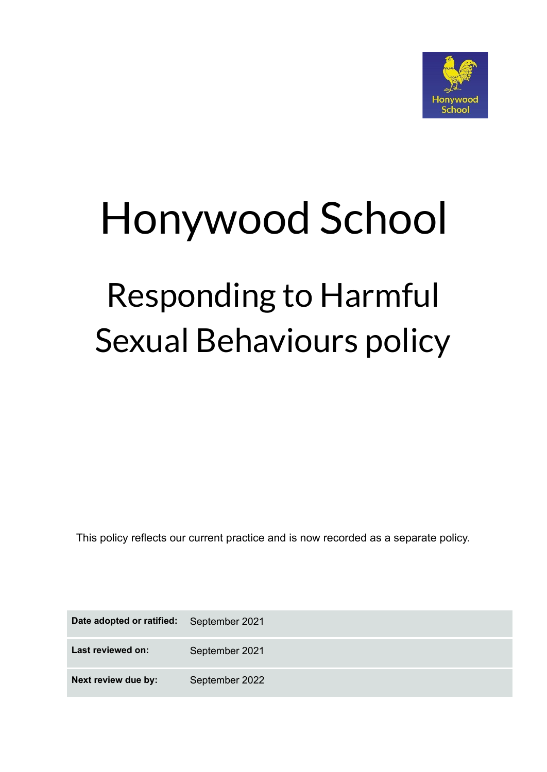

# Honywood School

## Responding to Harmful Sexual Behaviours policy

This policy reflects our current practice and is now recorded as a separate policy.

| Date adopted or ratified: | September 2021 |
|---------------------------|----------------|
| Last reviewed on:         | September 2021 |
| Next review due by:       | September 2022 |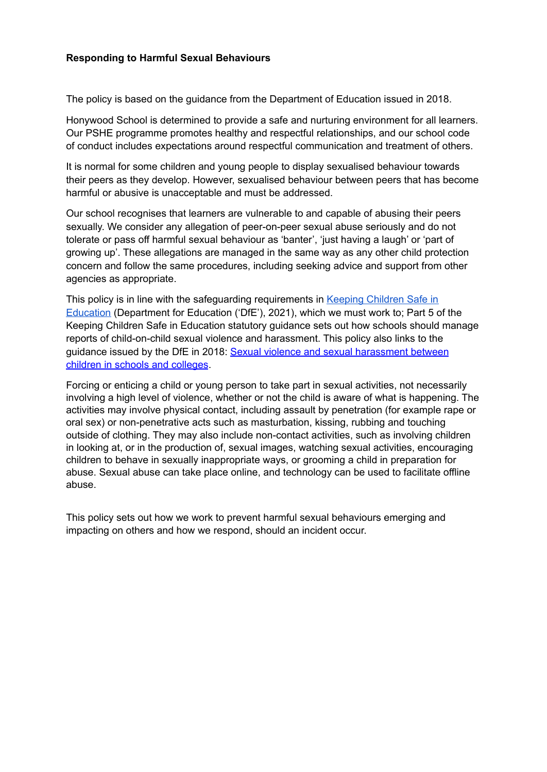#### **Responding to Harmful Sexual Behaviours**

The policy is based on the guidance from the Department of Education issued in 2018.

Honywood School is determined to provide a safe and nurturing environment for all learners. Our PSHE programme promotes healthy and respectful relationships, and our school code of conduct includes expectations around respectful communication and treatment of others.

It is normal for some children and young people to display sexualised behaviour towards their peers as they develop. However, sexualised behaviour between peers that has become harmful or abusive is unacceptable and must be addressed.

Our school recognises that learners are vulnerable to and capable of abusing their peers sexually. We consider any allegation of peer-on-peer sexual abuse seriously and do not tolerate or pass off harmful sexual behaviour as 'banter', 'just having a laugh' or 'part of growing up'. These allegations are managed in the same way as any other child protection concern and follow the same procedures, including seeking advice and support from other agencies as appropriate.

This policy is in line with the safeguarding requirements in Keeping [Children](https://assets.publishing.service.gov.uk/government/uploads/system/uploads/attachment_data/file/1014057/KCSIE_2021_September.pdf) Safe in [Education](https://assets.publishing.service.gov.uk/government/uploads/system/uploads/attachment_data/file/1014057/KCSIE_2021_September.pdf) (Department for Education ('DfE'), 2021), which we must work to; Part 5 of the Keeping Children Safe in Education statutory guidance sets out how schools should manage reports of child-on-child sexual violence and harassment. This policy also links to the guidance issued by the DfE in 2018: Sexual violence and sexual [harassment](https://eur02.safelinks.protection.outlook.com/?url=https%3A%2F%2Fwww.gov.uk%2Fgovernment%2Fpublications%2Fsexual-violence-and-sexual-harassment-between-children-in-schools-and-colleges&data=04%7C01%7C%7Cf2e9fff87b2149eb72d208d8fe84ac80%7Ca8b4324f155c4215a0f17ed8cc9a992f%7C0%7C0%7C637539193225038798%7CUnknown%7CTWFpbGZsb3d8eyJWIjoiMC4wLjAwMDAiLCJQIjoiV2luMzIiLCJBTiI6Ik1haWwiLCJXVCI6Mn0%3D%7C1000&sdata=ZYrHV9%2FJUndIMjNVX505sSFT9UICMSs637uOd9Oag4Q%3D&reserved=0) between children in schools and [colleges](https://eur02.safelinks.protection.outlook.com/?url=https%3A%2F%2Fwww.gov.uk%2Fgovernment%2Fpublications%2Fsexual-violence-and-sexual-harassment-between-children-in-schools-and-colleges&data=04%7C01%7C%7Cf2e9fff87b2149eb72d208d8fe84ac80%7Ca8b4324f155c4215a0f17ed8cc9a992f%7C0%7C0%7C637539193225038798%7CUnknown%7CTWFpbGZsb3d8eyJWIjoiMC4wLjAwMDAiLCJQIjoiV2luMzIiLCJBTiI6Ik1haWwiLCJXVCI6Mn0%3D%7C1000&sdata=ZYrHV9%2FJUndIMjNVX505sSFT9UICMSs637uOd9Oag4Q%3D&reserved=0).

Forcing or enticing a child or young person to take part in sexual activities, not necessarily involving a high level of violence, whether or not the child is aware of what is happening. The activities may involve physical contact, including assault by penetration (for example rape or oral sex) or non-penetrative acts such as masturbation, kissing, rubbing and touching outside of clothing. They may also include non-contact activities, such as involving children in looking at, or in the production of, sexual images, watching sexual activities, encouraging children to behave in sexually inappropriate ways, or grooming a child in preparation for abuse. Sexual abuse can take place online, and technology can be used to facilitate offline abuse.

This policy sets out how we work to prevent harmful sexual behaviours emerging and impacting on others and how we respond, should an incident occur.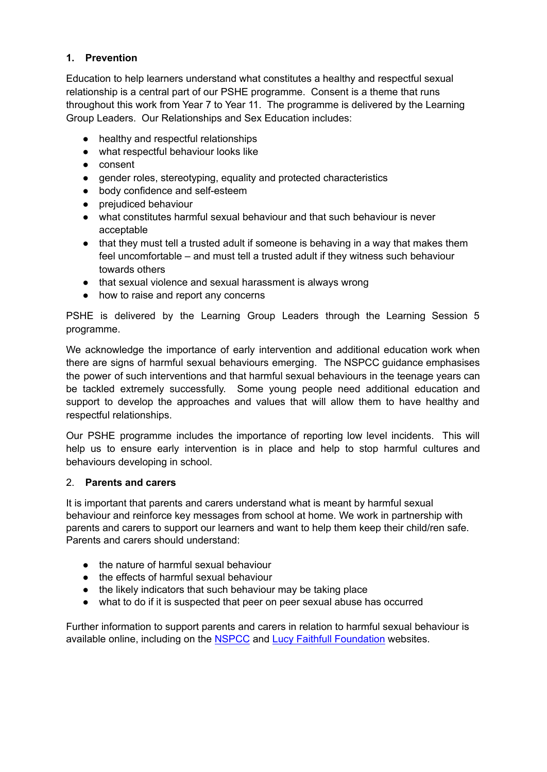#### **1. Prevention**

Education to help learners understand what constitutes a healthy and respectful sexual relationship is a central part of our PSHE programme. Consent is a theme that runs throughout this work from Year 7 to Year 11. The programme is delivered by the Learning Group Leaders. Our Relationships and Sex Education includes:

- healthy and respectful relationships
- what respectful behaviour looks like
- consent
- gender roles, stereotyping, equality and protected characteristics
- body confidence and self-esteem
- prejudiced behaviour
- what constitutes harmful sexual behaviour and that such behaviour is never acceptable
- that they must tell a trusted adult if someone is behaving in a way that makes them feel uncomfortable – and must tell a trusted adult if they witness such behaviour towards others
- that sexual violence and sexual harassment is always wrong
- how to raise and report any concerns

PSHE is delivered by the Learning Group Leaders through the Learning Session 5 programme.

We acknowledge the importance of early intervention and additional education work when there are signs of harmful sexual behaviours emerging. The NSPCC guidance emphasises the power of such interventions and that harmful sexual behaviours in the teenage years can be tackled extremely successfully. Some young people need additional education and support to develop the approaches and values that will allow them to have healthy and respectful relationships.

Our PSHE programme includes the importance of reporting low level incidents. This will help us to ensure early intervention is in place and help to stop harmful cultures and behaviours developing in school.

#### 2. **Parents and carers**

It is important that parents and carers understand what is meant by harmful sexual behaviour and reinforce key messages from school at home. We work in partnership with parents and carers to support our learners and want to help them keep their child/ren safe. Parents and carers should understand:

- the nature of harmful sexual behaviour
- the effects of harmful sexual behaviour
- the likely indicators that such behaviour may be taking place
- what to do if it is suspected that peer on peer sexual abuse has occurred

Further information to support parents and carers in relation to harmful sexual behaviour is available online, including on the [NSPCC](https://www.nspcc.org.uk/what-is-child-abuse/types-of-abuse/child-sexual-abuse/#support) and Lucy Faithfull [Foundation](https://www.lucyfaithfull.org.uk/parents-protect.htm) websites.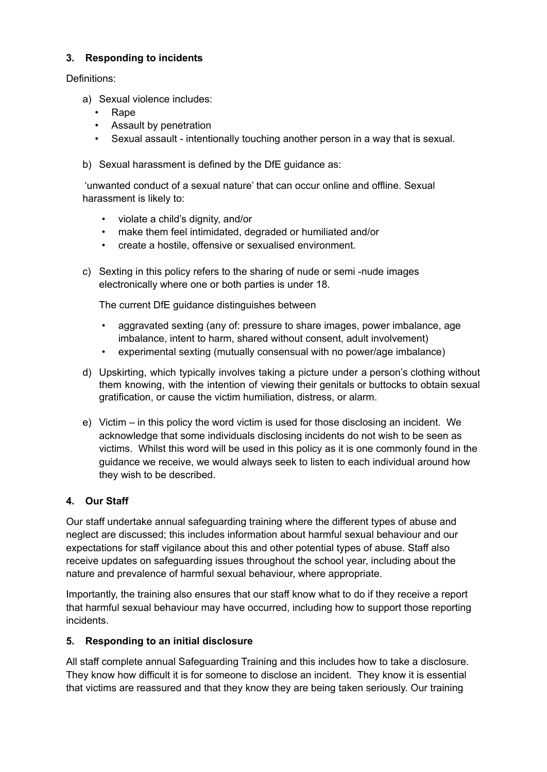#### **3. Responding to incidents**

Definitions:

- a) Sexual violence includes:
	- Rape
	- Assault by penetration
	- Sexual assault intentionally touching another person in a way that is sexual.
- b) Sexual harassment is defined by the DfE guidance as:

'unwanted conduct of a sexual nature' that can occur online and offline. Sexual harassment is likely to:

- violate a child's dignity, and/or
- make them feel intimidated, degraded or humiliated and/or
- create a hostile, offensive or sexualised environment.
- c) Sexting in this policy refers to the sharing of nude or semi -nude images electronically where one or both parties is under 18.

The current DfE guidance distinguishes between

- aggravated sexting (any of: pressure to share images, power imbalance, age imbalance, intent to harm, shared without consent, adult involvement)
- experimental sexting (mutually consensual with no power/age imbalance)
- d) Upskirting, which typically involves taking a picture under a person's clothing without them knowing, with the intention of viewing their genitals or buttocks to obtain sexual gratification, or cause the victim humiliation, distress, or alarm.
- e) Victim in this policy the word victim is used for those disclosing an incident. We acknowledge that some individuals disclosing incidents do not wish to be seen as victims. Whilst this word will be used in this policy as it is one commonly found in the guidance we receive, we would always seek to listen to each individual around how they wish to be described.

#### **4. Our Staff**

Our staff undertake annual safeguarding training where the different types of abuse and neglect are discussed; this includes information about harmful sexual behaviour and our expectations for staff vigilance about this and other potential types of abuse. Staff also receive updates on safeguarding issues throughout the school year, including about the nature and prevalence of harmful sexual behaviour, where appropriate.

Importantly, the training also ensures that our staff know what to do if they receive a report that harmful sexual behaviour may have occurred, including how to support those reporting incidents.

#### **5. Responding to an initial disclosure**

All staff complete annual Safeguarding Training and this includes how to take a disclosure. They know how difficult it is for someone to disclose an incident. They know it is essential that victims are reassured and that they know they are being taken seriously. Our training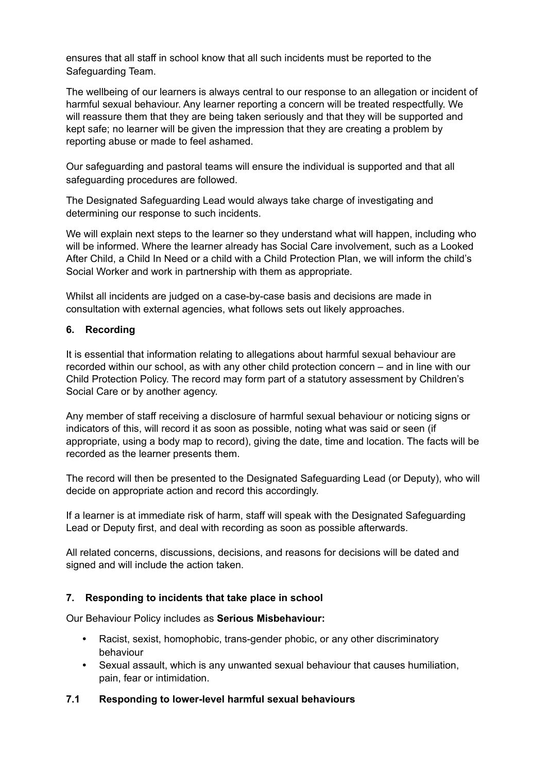ensures that all staff in school know that all such incidents must be reported to the Safeguarding Team.

The wellbeing of our learners is always central to our response to an allegation or incident of harmful sexual behaviour. Any learner reporting a concern will be treated respectfully. We will reassure them that they are being taken seriously and that they will be supported and kept safe; no learner will be given the impression that they are creating a problem by reporting abuse or made to feel ashamed.

Our safeguarding and pastoral teams will ensure the individual is supported and that all safeguarding procedures are followed.

The Designated Safeguarding Lead would always take charge of investigating and determining our response to such incidents.

We will explain next steps to the learner so they understand what will happen, including who will be informed. Where the learner already has Social Care involvement, such as a Looked After Child, a Child In Need or a child with a Child Protection Plan, we will inform the child's Social Worker and work in partnership with them as appropriate.

Whilst all incidents are judged on a case-by-case basis and decisions are made in consultation with external agencies, what follows sets out likely approaches.

#### **6. Recording**

It is essential that information relating to allegations about harmful sexual behaviour are recorded within our school, as with any other child protection concern – and in line with our Child Protection Policy. The record may form part of a statutory assessment by Children's Social Care or by another agency.

Any member of staff receiving a disclosure of harmful sexual behaviour or noticing signs or indicators of this, will record it as soon as possible, noting what was said or seen (if appropriate, using a body map to record), giving the date, time and location. The facts will be recorded as the learner presents them.

The record will then be presented to the Designated Safeguarding Lead (or Deputy), who will decide on appropriate action and record this accordingly.

If a learner is at immediate risk of harm, staff will speak with the Designated Safeguarding Lead or Deputy first, and deal with recording as soon as possible afterwards.

All related concerns, discussions, decisions, and reasons for decisions will be dated and signed and will include the action taken.

#### **7. Responding to incidents that take place in school**

Our Behaviour Policy includes as **Serious Misbehaviour:**

- **•** Racist, sexist, homophobic, trans-gender phobic, or any other discriminatory behaviour
- **•** Sexual assault, which is any unwanted sexual behaviour that causes humiliation, pain, fear or intimidation.

#### **7.1 Responding to lower-level harmful sexual behaviours**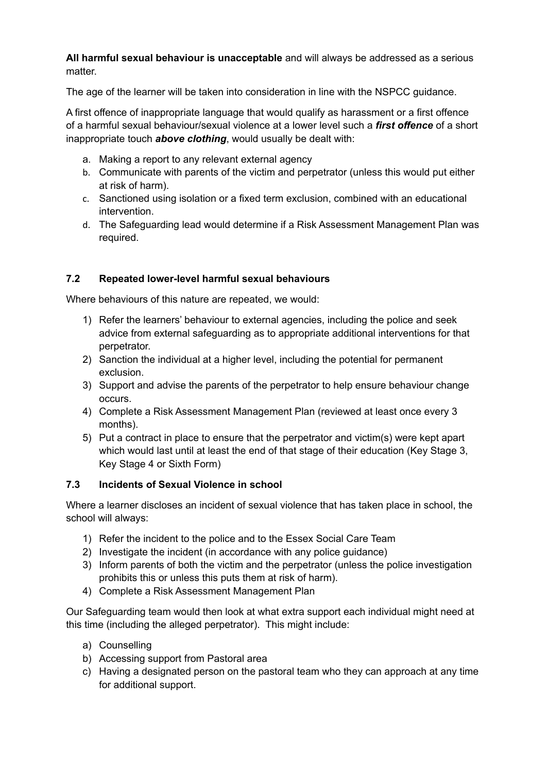**All harmful sexual behaviour is unacceptable** and will always be addressed as a serious matter.

The age of the learner will be taken into consideration in line with the NSPCC guidance.

A first offence of inappropriate language that would qualify as harassment or a first offence of a harmful sexual behaviour/sexual violence at a lower level such a *first offence* of a short inappropriate touch *above clothing*, would usually be dealt with:

- a. Making a report to any relevant external agency
- b. Communicate with parents of the victim and perpetrator (unless this would put either at risk of harm).
- c. Sanctioned using isolation or a fixed term exclusion, combined with an educational intervention.
- d. The Safeguarding lead would determine if a Risk Assessment Management Plan was required.

#### **7.2 Repeated lower-level harmful sexual behaviours**

Where behaviours of this nature are repeated, we would:

- 1) Refer the learners' behaviour to external agencies, including the police and seek advice from external safeguarding as to appropriate additional interventions for that perpetrator.
- 2) Sanction the individual at a higher level, including the potential for permanent exclusion.
- 3) Support and advise the parents of the perpetrator to help ensure behaviour change occurs.
- 4) Complete a Risk Assessment Management Plan (reviewed at least once every 3 months).
- 5) Put a contract in place to ensure that the perpetrator and victim(s) were kept apart which would last until at least the end of that stage of their education (Key Stage 3, Key Stage 4 or Sixth Form)

#### **7.3 Incidents of Sexual Violence in school**

Where a learner discloses an incident of sexual violence that has taken place in school, the school will always:

- 1) Refer the incident to the police and to the Essex Social Care Team
- 2) Investigate the incident (in accordance with any police guidance)
- 3) Inform parents of both the victim and the perpetrator (unless the police investigation prohibits this or unless this puts them at risk of harm).
- 4) Complete a Risk Assessment Management Plan

Our Safeguarding team would then look at what extra support each individual might need at this time (including the alleged perpetrator). This might include:

- a) Counselling
- b) Accessing support from Pastoral area
- c) Having a designated person on the pastoral team who they can approach at any time for additional support.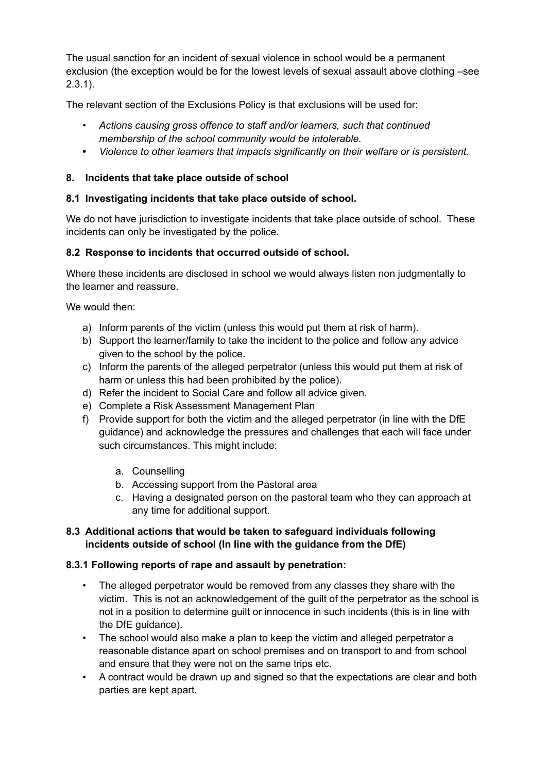The usual sanction for an incident of sexual violence in school would be a permanent exclusion (the exception would be for the lowest levels of sexual assault above clothing –see 2.3.1).

The relevant section of the Exclusions Policy is that exclusions will be used for:

- *• Actions causing gross offence to staff and/or learners, such that continued membership of the school community would be intolerable.*
- **•** *Violence to other learners that impacts significantly on their welfare or is persistent.*

#### **8. Incidents that take place outside of school**

#### **8.1 Investigating incidents that take place outside of school.**

We do not have jurisdiction to investigate incidents that take place outside of school. These incidents can only be investigated by the police.

#### **8.2 Response to incidents that occurred outside of school.**

Where these incidents are disclosed in school we would always listen non judgmentally to the learner and reassure.

We would then:

- a) Inform parents of the victim (unless this would put them at risk of harm).
- b) Support the learner/family to take the incident to the police and follow any advice given to the school by the police.
- c) Inform the parents of the alleged perpetrator (unless this would put them at risk of harm or unless this had been prohibited by the police).
- d) Refer the incident to Social Care and follow all advice given.
- e) Complete a Risk Assessment Management Plan
- f) Provide support for both the victim and the alleged perpetrator (in line with the DfE guidance) and acknowledge the pressures and challenges that each will face under such circumstances. This might include:
	- a. Counselling
	- b. Accessing support from the Pastoral area
	- c. Having a designated person on the pastoral team who they can approach at any time for additional support.

#### **8.3 Additional actions that would be taken to safeguard individuals following incidents outside of school (In line with the guidance from the DfE)**

#### **8.3.1 Following reports of rape and assault by penetration:**

- The alleged perpetrator would be removed from any classes they share with the victim. This is not an acknowledgement of the guilt of the perpetrator as the school is not in a position to determine guilt or innocence in such incidents (this is in line with the DfE guidance).
- The school would also make a plan to keep the victim and alleged perpetrator a reasonable distance apart on school premises and on transport to and from school and ensure that they were not on the same trips etc.
- A contract would be drawn up and signed so that the expectations are clear and both parties are kept apart.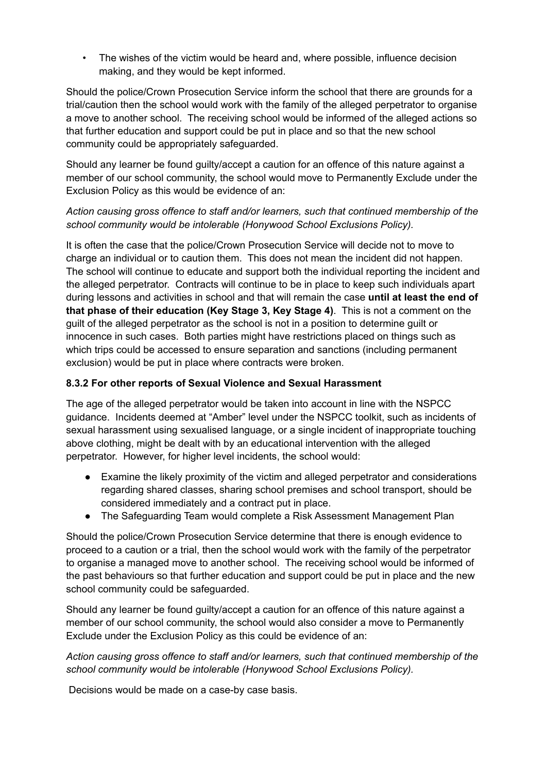• The wishes of the victim would be heard and, where possible, influence decision making, and they would be kept informed.

Should the police/Crown Prosecution Service inform the school that there are grounds for a trial/caution then the school would work with the family of the alleged perpetrator to organise a move to another school. The receiving school would be informed of the alleged actions so that further education and support could be put in place and so that the new school community could be appropriately safeguarded.

Should any learner be found guilty/accept a caution for an offence of this nature against a member of our school community, the school would move to Permanently Exclude under the Exclusion Policy as this would be evidence of an:

#### *Action causing gross offence to staff and/or learners, such that continued membership of the school community would be intolerable (Honywood School Exclusions Policy).*

It is often the case that the police/Crown Prosecution Service will decide not to move to charge an individual or to caution them. This does not mean the incident did not happen. The school will continue to educate and support both the individual reporting the incident and the alleged perpetrator. Contracts will continue to be in place to keep such individuals apart during lessons and activities in school and that will remain the case **until at least the end of that phase of their education (Key Stage 3, Key Stage 4)**. This is not a comment on the guilt of the alleged perpetrator as the school is not in a position to determine guilt or innocence in such cases. Both parties might have restrictions placed on things such as which trips could be accessed to ensure separation and sanctions (including permanent exclusion) would be put in place where contracts were broken.

#### **8.3.2 For other reports of Sexual Violence and Sexual Harassment**

The age of the alleged perpetrator would be taken into account in line with the NSPCC guidance. Incidents deemed at "Amber" level under the NSPCC toolkit, such as incidents of sexual harassment using sexualised language, or a single incident of inappropriate touching above clothing, might be dealt with by an educational intervention with the alleged perpetrator. However, for higher level incidents, the school would:

- Examine the likely proximity of the victim and alleged perpetrator and considerations regarding shared classes, sharing school premises and school transport, should be considered immediately and a contract put in place.
- The Safeguarding Team would complete a Risk Assessment Management Plan

Should the police/Crown Prosecution Service determine that there is enough evidence to proceed to a caution or a trial, then the school would work with the family of the perpetrator to organise a managed move to another school. The receiving school would be informed of the past behaviours so that further education and support could be put in place and the new school community could be safeguarded.

Should any learner be found guilty/accept a caution for an offence of this nature against a member of our school community, the school would also consider a move to Permanently Exclude under the Exclusion Policy as this could be evidence of an:

*Action causing gross offence to staff and/or learners, such that continued membership of the school community would be intolerable (Honywood School Exclusions Policy).*

Decisions would be made on a case-by case basis.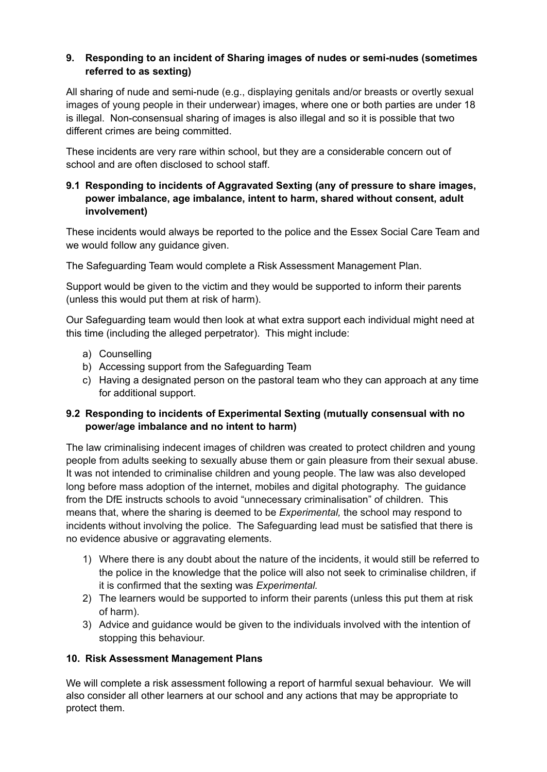#### **9. Responding to an incident of Sharing images of nudes or semi-nudes (sometimes referred to as sexting)**

All sharing of nude and semi-nude (e.g., displaying genitals and/or breasts or overtly sexual images of young people in their underwear) images, where one or both parties are under 18 is illegal. Non-consensual sharing of images is also illegal and so it is possible that two different crimes are being committed.

These incidents are very rare within school, but they are a considerable concern out of school and are often disclosed to school staff.

#### **9.1 Responding to incidents of Aggravated Sexting (any of pressure to share images, power imbalance, age imbalance, intent to harm, shared without consent, adult involvement)**

These incidents would always be reported to the police and the Essex Social Care Team and we would follow any guidance given.

The Safeguarding Team would complete a Risk Assessment Management Plan.

Support would be given to the victim and they would be supported to inform their parents (unless this would put them at risk of harm).

Our Safeguarding team would then look at what extra support each individual might need at this time (including the alleged perpetrator). This might include:

- a) Counselling
- b) Accessing support from the Safeguarding Team
- c) Having a designated person on the pastoral team who they can approach at any time for additional support.

#### **9.2 Responding to incidents of Experimental Sexting (mutually consensual with no power/age imbalance and no intent to harm)**

The law criminalising indecent images of children was created to protect children and young people from adults seeking to sexually abuse them or gain pleasure from their sexual abuse. It was not intended to criminalise children and young people. The law was also developed long before mass adoption of the internet, mobiles and digital photography. The guidance from the DfE instructs schools to avoid "unnecessary criminalisation" of children. This means that, where the sharing is deemed to be *Experimental,* the school may respond to incidents without involving the police. The Safeguarding lead must be satisfied that there is no evidence abusive or aggravating elements.

- 1) Where there is any doubt about the nature of the incidents, it would still be referred to the police in the knowledge that the police will also not seek to criminalise children, if it is confirmed that the sexting was *Experimental.*
- 2) The learners would be supported to inform their parents (unless this put them at risk of harm).
- 3) Advice and guidance would be given to the individuals involved with the intention of stopping this behaviour.

#### **10. Risk Assessment Management Plans**

We will complete a risk assessment following a report of harmful sexual behaviour. We will also consider all other learners at our school and any actions that may be appropriate to protect them.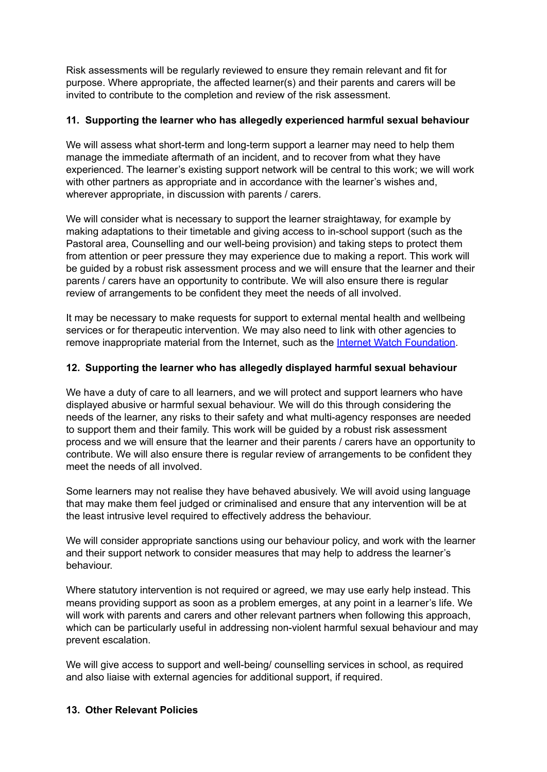Risk assessments will be regularly reviewed to ensure they remain relevant and fit for purpose. Where appropriate, the affected learner(s) and their parents and carers will be invited to contribute to the completion and review of the risk assessment.

#### **11. Supporting the learner who has allegedly experienced harmful sexual behaviour**

We will assess what short-term and long-term support a learner may need to help them manage the immediate aftermath of an incident, and to recover from what they have experienced. The learner's existing support network will be central to this work; we will work with other partners as appropriate and in accordance with the learner's wishes and, wherever appropriate, in discussion with parents / carers.

We will consider what is necessary to support the learner straightaway, for example by making adaptations to their timetable and giving access to in-school support (such as the Pastoral area, Counselling and our well-being provision) and taking steps to protect them from attention or peer pressure they may experience due to making a report. This work will be guided by a robust risk assessment process and we will ensure that the learner and their parents / carers have an opportunity to contribute. We will also ensure there is regular review of arrangements to be confident they meet the needs of all involved.

It may be necessary to make requests for support to external mental health and wellbeing services or for therapeutic intervention. We may also need to link with other agencies to remove inappropriate material from the Internet, such as the Internet Watch [Foundation](https://www.iwf.org.uk/).

#### **12. Supporting the learner who has allegedly displayed harmful sexual behaviour**

We have a duty of care to all learners, and we will protect and support learners who have displayed abusive or harmful sexual behaviour. We will do this through considering the needs of the learner, any risks to their safety and what multi-agency responses are needed to support them and their family. This work will be guided by a robust risk assessment process and we will ensure that the learner and their parents / carers have an opportunity to contribute. We will also ensure there is regular review of arrangements to be confident they meet the needs of all involved.

Some learners may not realise they have behaved abusively. We will avoid using language that may make them feel judged or criminalised and ensure that any intervention will be at the least intrusive level required to effectively address the behaviour.

We will consider appropriate sanctions using our behaviour policy, and work with the learner and their support network to consider measures that may help to address the learner's behaviour.

Where statutory intervention is not required or agreed, we may use early help instead. This means providing support as soon as a problem emerges, at any point in a learner's life. We will work with parents and carers and other relevant partners when following this approach, which can be particularly useful in addressing non-violent harmful sexual behaviour and may prevent escalation.

We will give access to support and well-being/ counselling services in school, as required and also liaise with external agencies for additional support, if required.

#### **13. Other Relevant Policies**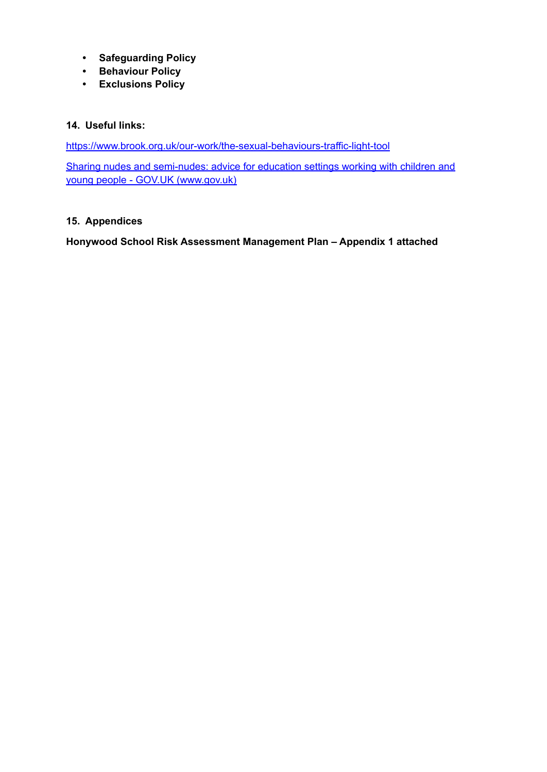- **• Safeguarding Policy**
- **• Behaviour Policy**
- **• Exclusions Policy**

#### **14. Useful links:**

<https://www.brook.org.uk/our-work/the-sexual-behaviours-traffic-light-tool>

Sharing nudes and semi-nudes: advice for education settings working with children and young people - GOV.UK (www.gov.uk)

#### **15. Appendices**

**Honywood School Risk Assessment Management Plan – Appendix 1 attached**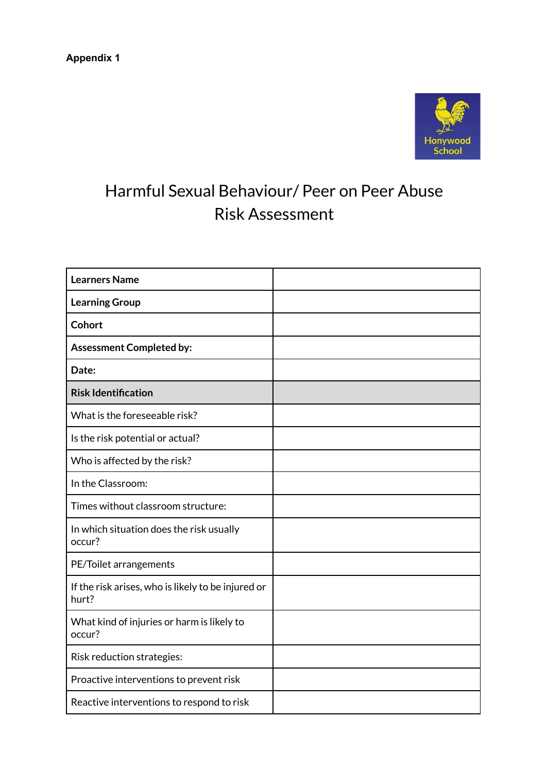

### Harmful Sexual Behaviour/ Peer on Peer Abuse Risk Assessment

| <b>Learners Name</b>                                        |  |
|-------------------------------------------------------------|--|
| <b>Learning Group</b>                                       |  |
| <b>Cohort</b>                                               |  |
| <b>Assessment Completed by:</b>                             |  |
| Date:                                                       |  |
| <b>Risk Identification</b>                                  |  |
| What is the foreseeable risk?                               |  |
| Is the risk potential or actual?                            |  |
| Who is affected by the risk?                                |  |
| In the Classroom:                                           |  |
| Times without classroom structure:                          |  |
| In which situation does the risk usually<br>occur?          |  |
| PE/Toilet arrangements                                      |  |
| If the risk arises, who is likely to be injured or<br>hurt? |  |
| What kind of injuries or harm is likely to<br>occur?        |  |
| Risk reduction strategies:                                  |  |
| Proactive interventions to prevent risk                     |  |
| Reactive interventions to respond to risk                   |  |